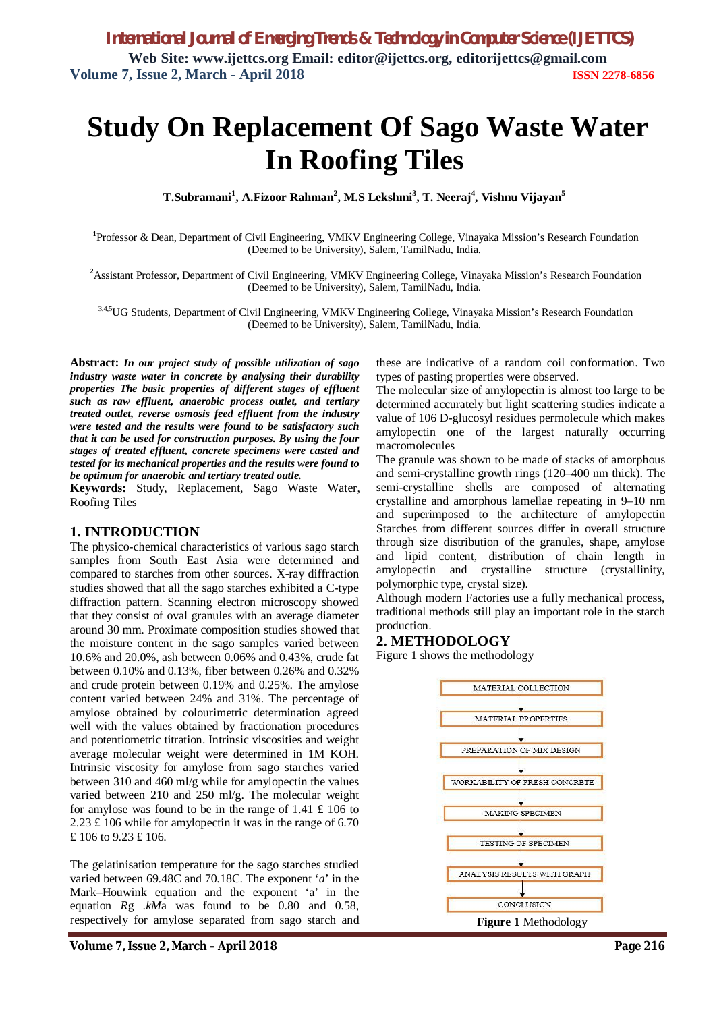# **Study On Replacement Of Sago Waste Water In Roofing Tiles**

**T.Subramani<sup>1</sup> , A.Fizoor Rahman<sup>2</sup> , M.S Lekshmi<sup>3</sup> , T. Neeraj<sup>4</sup> , Vishnu Vijayan<sup>5</sup>**

**1** Professor & Dean, Department of Civil Engineering, VMKV Engineering College, Vinayaka Mission's Research Foundation (Deemed to be University), Salem, TamilNadu, India.

**<sup>2</sup>**Assistant Professor, Department of Civil Engineering, VMKV Engineering College, Vinayaka Mission's Research Foundation (Deemed to be University), Salem, TamilNadu, India.

3,4,5UG Students, Department of Civil Engineering, VMKV Engineering College, Vinayaka Mission's Research Foundation (Deemed to be University), Salem, TamilNadu, India.

**Abstract:** *In our project study of possible utilization of sago industry waste water in concrete by analysing their durability properties The basic properties of different stages of effluent such as raw effluent, anaerobic process outlet, and tertiary treated outlet, reverse osmosis feed effluent from the industry were tested and the results were found to be satisfactory such that it can be used for construction purposes. By using the four stages of treated effluent, concrete specimens were casted and tested for its mechanical properties and the results were found to be optimum for anaerobic and tertiary treated outle.*

**Keywords:** Study, Replacement, Sago Waste Water, Roofing Tiles

### **1. INTRODUCTION**

The physico-chemical characteristics of various sago starch samples from South East Asia were determined and compared to starches from other sources. X-ray diffraction studies showed that all the sago starches exhibited a C-type diffraction pattern. Scanning electron microscopy showed that they consist of oval granules with an average diameter around 30 mm. Proximate composition studies showed that the moisture content in the sago samples varied between 10.6% and 20.0%, ash between 0.06% and 0.43%, crude fat between 0.10% and 0.13%, fiber between 0.26% and 0.32% and crude protein between 0.19% and 0.25%. The amylose content varied between 24% and 31%. The percentage of amylose obtained by colourimetric determination agreed well with the values obtained by fractionation procedures and potentiometric titration. Intrinsic viscosities and weight average molecular weight were determined in 1M KOH. Intrinsic viscosity for amylose from sago starches varied between 310 and 460 ml/g while for amylopectin the values varied between 210 and 250 ml/g. The molecular weight for amylose was found to be in the range of  $1.41 \text{ } \text{\textsterling} 106$  to 2.23 £ 106 while for amylopectin it was in the range of 6.70 £ 106 to 9.23 £ 106.

The gelatinisation temperature for the sago starches studied varied between 69.48C and 70.18C. The exponent '*a*' in the Mark–Houwink equation and the exponent 'a' in the equation *R*g .*kM*a was found to be 0.80 and 0.58, respectively for amylose separated from sago starch and

these are indicative of a random coil conformation. Two types of pasting properties were observed.

The molecular size of amylopectin is almost too large to be determined accurately but light scattering studies indicate a value of 106 D-glucosyl residues permolecule which makes amylopectin one of the largest naturally occurring macromolecules

The granule was shown to be made of stacks of amorphous and semi-crystalline growth rings (120–400 nm thick). The semi-crystalline shells are composed of alternating crystalline and amorphous lamellae repeating in 9–10 nm and superimposed to the architecture of amylopectin Starches from different sources differ in overall structure through size distribution of the granules, shape, amylose and lipid content, distribution of chain length in amylopectin and crystalline structure (crystallinity, polymorphic type, crystal size).

Although modern Factories use a fully mechanical process, traditional methods still play an important role in the starch production.

### **2. METHODOLOGY**

Figure 1 shows the methodology

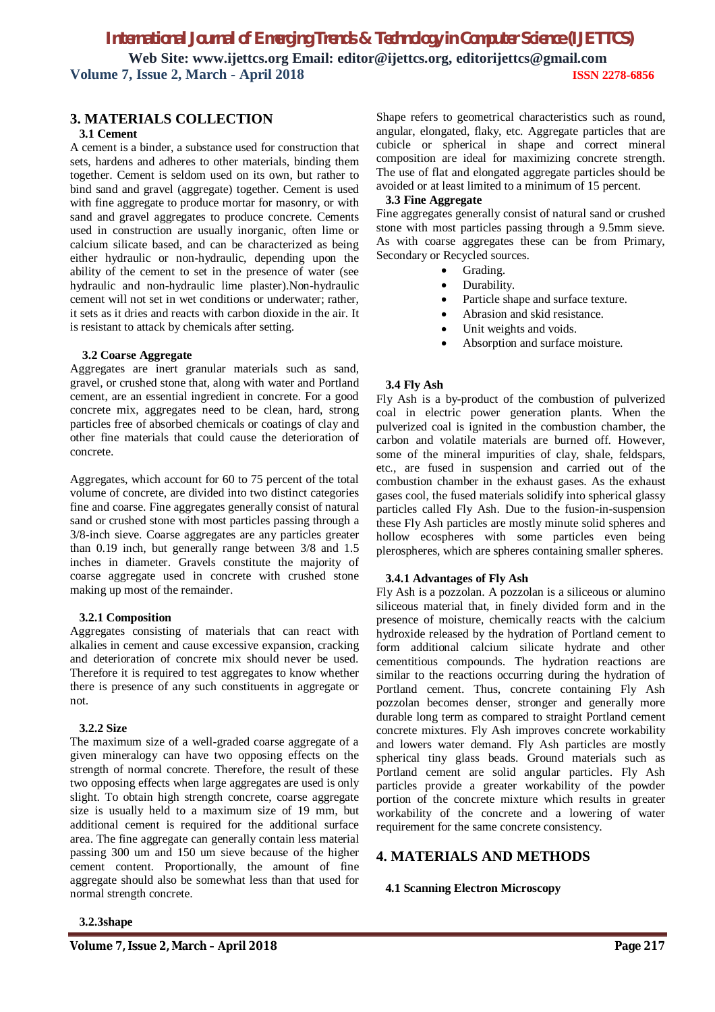# **3. MATERIALS COLLECTION**

### **3.1 Cement**

A cement is a binder, a substance used for construction that sets, hardens and adheres to other materials, binding them together. Cement is seldom used on its own, but rather to bind sand and gravel (aggregate) together. Cement is used with fine aggregate to produce mortar for masonry, or with sand and gravel aggregates to produce concrete. Cements used in construction are usually inorganic, often lime or calcium silicate based, and can be characterized as being either hydraulic or non-hydraulic, depending upon the ability of the cement to set in the presence of water (see hydraulic and non-hydraulic lime plaster).Non-hydraulic cement will not set in wet conditions or underwater; rather, it sets as it dries and reacts with carbon dioxide in the air. It is resistant to attack by chemicals after setting.

### **3.2 Coarse Aggregate**

Aggregates are inert granular materials such as sand, gravel, or crushed stone that, along with water and Portland cement, are an essential ingredient in concrete. For a good concrete mix, aggregates need to be clean, hard, strong particles free of absorbed chemicals or coatings of clay and other fine materials that could cause the deterioration of concrete.

Aggregates, which account for 60 to 75 percent of the total volume of concrete, are divided into two distinct categories fine and coarse. Fine aggregates generally consist of natural sand or crushed stone with most particles passing through a 3/8-inch sieve. Coarse aggregates are any particles greater than 0.19 inch, but generally range between 3/8 and 1.5 inches in diameter. Gravels constitute the majority of coarse aggregate used in concrete with crushed stone making up most of the remainder.

### **3.2.1 Composition**

Aggregates consisting of materials that can react with alkalies in cement and cause excessive expansion, cracking and deterioration of concrete mix should never be used. Therefore it is required to test aggregates to know whether there is presence of any such constituents in aggregate or not.

### **3.2.2 Size**

The maximum size of a well-graded coarse aggregate of a given mineralogy can have two opposing effects on the strength of normal concrete. Therefore, the result of these two opposing effects when large aggregates are used is only slight. To obtain high strength concrete, coarse aggregate size is usually held to a maximum size of 19 mm, but additional cement is required for the additional surface area. The fine aggregate can generally contain less material passing 300 um and 150 um sieve because of the higher cement content. Proportionally, the amount of fine aggregate should also be somewhat less than that used for normal strength concrete.

Shape refers to geometrical characteristics such as round, angular, elongated, flaky, etc. Aggregate particles that are cubicle or spherical in shape and correct mineral composition are ideal for maximizing concrete strength. The use of flat and elongated aggregate particles should be avoided or at least limited to a minimum of 15 percent.

### **3.3 Fine Aggregate**

Fine aggregates generally consist of natural sand or crushed stone with most particles passing through a 9.5mm sieve. As with coarse aggregates these can be from Primary, Secondary or Recycled sources.

- Grading.
- Durability.
- Particle shape and surface texture.
- Abrasion and skid resistance.
- Unit weights and voids.
- Absorption and surface moisture.

### **3.4 Fly Ash**

Fly Ash is a by-product of the combustion of pulverized coal in electric power generation plants. When the pulverized coal is ignited in the combustion chamber, the carbon and volatile materials are burned off. However, some of the mineral impurities of clay, shale, feldspars, etc., are fused in suspension and carried out of the combustion chamber in the exhaust gases. As the exhaust gases cool, the fused materials solidify into spherical glassy particles called Fly Ash. Due to the fusion-in-suspension these Fly Ash particles are mostly minute solid spheres and hollow ecospheres with some particles even being plerospheres, which are spheres containing smaller spheres.

### **3.4.1 Advantages of Fly Ash**

Fly Ash is a pozzolan. A pozzolan is a siliceous or alumino siliceous material that, in finely divided form and in the presence of moisture, chemically reacts with the calcium hydroxide released by the hydration of Portland cement to form additional calcium silicate hydrate and other cementitious compounds. The hydration reactions are similar to the reactions occurring during the hydration of Portland cement. Thus, concrete containing Fly Ash pozzolan becomes denser, stronger and generally more durable long term as compared to straight Portland cement concrete mixtures. Fly Ash improves concrete workability and lowers water demand. Fly Ash particles are mostly spherical tiny glass beads. Ground materials such as Portland cement are solid angular particles. Fly Ash particles provide a greater workability of the powder portion of the concrete mixture which results in greater workability of the concrete and a lowering of water requirement for the same concrete consistency.

## **4. MATERIALS AND METHODS**

### **4.1 Scanning Electron Microscopy**

#### **3.2.3shape**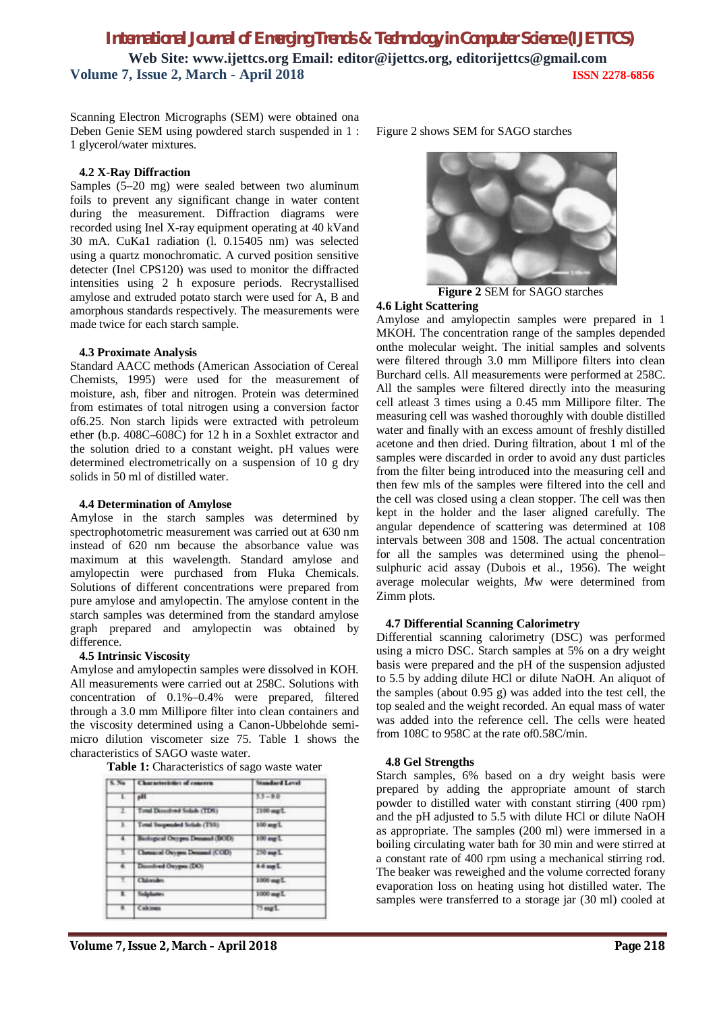Scanning Electron Micrographs (SEM) were obtained ona Deben Genie SEM using powdered starch suspended in 1 : 1 glycerol/water mixtures.

### **4.2 X-Ray Diffraction**

Samples (5–20 mg) were sealed between two aluminum foils to prevent any significant change in water content during the measurement. Diffraction diagrams were recorded using Inel X-ray equipment operating at 40 kVand 30 mA. CuKa1 radiation (l. 0.15405 nm) was selected using a quartz monochromatic. A curved position sensitive detecter (Inel CPS120) was used to monitor the diffracted intensities using 2 h exposure periods. Recrystallised amylose and extruded potato starch were used for A, B and amorphous standards respectively. The measurements were made twice for each starch sample.

#### **4.3 Proximate Analysis**

Standard AACC methods (American Association of Cereal Chemists, 1995) were used for the measurement of moisture, ash, fiber and nitrogen. Protein was determined from estimates of total nitrogen using a conversion factor of6.25. Non starch lipids were extracted with petroleum ether (b.p. 408C–608C) for 12 h in a Soxhlet extractor and the solution dried to a constant weight. pH values were determined electrometrically on a suspension of 10 g dry solids in 50 ml of distilled water.

### **4.4 Determination of Amylose**

Amylose in the starch samples was determined by spectrophotometric measurement was carried out at 630 nm instead of 620 nm because the absorbance value was maximum at this wavelength. Standard amylose and amylopectin were purchased from Fluka Chemicals. Solutions of different concentrations were prepared from pure amylose and amylopectin. The amylose content in the starch samples was determined from the standard amylose graph prepared and amylopectin was obtained by difference.

### **4.5 Intrinsic Viscosity**

Amylose and amylopectin samples were dissolved in KOH. All measurements were carried out at 258C. Solutions with concentration of 0.1%–0.4% were prepared, filtered through a 3.0 mm Millipore filter into clean containers and the viscosity determined using a Canon-Ubbelohde semimicro dilution viscometer size 75. Table 1 shows the characteristics of SAGO waste water.

| <b>S. No.</b>        | Characteristics of concern    | <b>Standard Level</b> |
|----------------------|-------------------------------|-----------------------|
| τ                    | p35                           | $33 - 90$             |
| $\overline{z}$       | Total Described Solids (TDS)  | 2100 mg L             |
| $\lambda$            | Total Suspensed Solids (TSS)  | 100 mg L              |
| $\overline{1}$       | Baskopeal Onygon Demand (BOD) | $100$ me $L$          |
| -3.1                 | Chemical Onygen Demand (COD)  | 250 aug L             |
| Ŧ                    | Dissult and Oxygens (DO)      | 44 mgL                |
| Ŧ                    | Châncides                     | 1000 mg L             |
| г                    | <b>Subplusters</b>            | 1000 mg L             |
| $\overline{\bullet}$ | Calcinati                     | 75 mgL                |

Figure 2 shows SEM for SAGO starches



**Figure 2** SEM for SAGO starches

#### **4.6 Light Scattering**

Amylose and amylopectin samples were prepared in 1 MKOH. The concentration range of the samples depended onthe molecular weight. The initial samples and solvents were filtered through 3.0 mm Millipore filters into clean Burchard cells. All measurements were performed at 258C. All the samples were filtered directly into the measuring cell atleast 3 times using a 0.45 mm Millipore filter. The measuring cell was washed thoroughly with double distilled water and finally with an excess amount of freshly distilled acetone and then dried. During filtration, about 1 ml of the samples were discarded in order to avoid any dust particles from the filter being introduced into the measuring cell and then few mls of the samples were filtered into the cell and the cell was closed using a clean stopper. The cell was then kept in the holder and the laser aligned carefully. The angular dependence of scattering was determined at 108 intervals between 308 and 1508. The actual concentration for all the samples was determined using the phenol– sulphuric acid assay (Dubois et al., 1956). The weight average molecular weights, *M*w were determined from Zimm plots.

### **4.7 Differential Scanning Calorimetry**

Differential scanning calorimetry (DSC) was performed using a micro DSC. Starch samples at 5% on a dry weight basis were prepared and the pH of the suspension adjusted to 5.5 by adding dilute HCl or dilute NaOH. An aliquot of the samples (about 0.95 g) was added into the test cell, the top sealed and the weight recorded. An equal mass of water was added into the reference cell. The cells were heated from 108C to 958C at the rate of0.58C/min.

#### **4.8 Gel Strengths**

Starch samples, 6% based on a dry weight basis were prepared by adding the appropriate amount of starch powder to distilled water with constant stirring (400 rpm) and the pH adjusted to 5.5 with dilute HCl or dilute NaOH as appropriate. The samples (200 ml) were immersed in a boiling circulating water bath for 30 min and were stirred at a constant rate of 400 rpm using a mechanical stirring rod. The beaker was reweighed and the volume corrected forany evaporation loss on heating using hot distilled water. The samples were transferred to a storage jar (30 ml) cooled at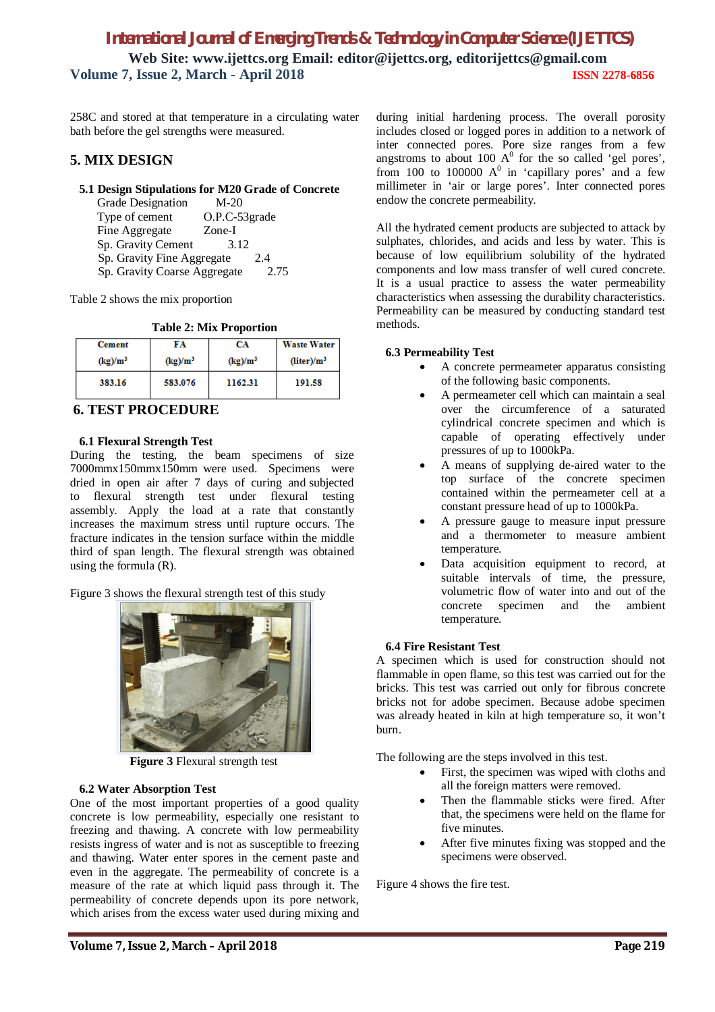258C and stored at that temperature in a circulating water bath before the gel strengths were measured.

### **5. MIX DESIGN**

### **5.1 Design Stipulations for M20 Grade of Concrete**

Grade Designation M-20 Type of cement O.P.C-53grade<br>Fine Aggregate Zone-I Fine Aggregate Sp. Gravity Cement 3.12 Sp. Gravity Fine Aggregate 2.4 Sp. Gravity Coarse Aggregate 2.75

Table 2 shows the mix proportion

**Table 2: Mix Proportion**

| <b>Cement</b> | FA         | CA         | Waste Water               |
|---------------|------------|------------|---------------------------|
| $(kg)/m^3$    | $(kg)/m^3$ | $(kg)/m^3$ | $(liter)$ /m <sup>3</sup> |
| 383.16        | 583.076    | 1162.31    | 191.58                    |

### **6. TEST PROCEDURE**

### **6.1 Flexural Strength Test**

During the testing, the beam specimens of size 7000mmx150mmx150mm were used. Specimens were dried in open air after 7 days of curing and subjected to flexural strength test under flexural testing assembly. Apply the load at a rate that constantly increases the maximum stress until rupture occurs. The fracture indicates in the tension surface within the middle third of span length. The flexural strength was obtained using the formula (R).

Figure 3 shows the flexural strength test of this study



**Figure 3** Flexural strength test

### **6.2 Water Absorption Test**

One of the most important properties of a good quality concrete is low permeability, especially one resistant to freezing and thawing. A concrete with low permeability resists ingress of water and is not as susceptible to freezing and thawing. Water enter spores in the cement paste and even in the aggregate. The permeability of concrete is a measure of the rate at which liquid pass through it. The permeability of concrete depends upon its pore network, which arises from the excess water used during mixing and

during initial hardening process. The overall porosity includes closed or logged pores in addition to a network of inter connected pores. Pore size ranges from a few angstroms to about 100  $A^0$  for the so called 'gel pores', from 100 to 100000  $A^0$  in 'capillary pores' and a few millimeter in 'air or large pores'. Inter connected pores endow the concrete permeability.

All the hydrated cement products are subjected to attack by sulphates, chlorides, and acids and less by water. This is because of low equilibrium solubility of the hydrated components and low mass transfer of well cured concrete. It is a usual practice to assess the water permeability characteristics when assessing the durability characteristics. Permeability can be measured by conducting standard test methods.

### **6.3 Permeability Test**

- A concrete permeameter apparatus consisting of the following basic components.
- A permeameter cell which can maintain a seal over the circumference of a saturated cylindrical concrete specimen and which is capable of operating effectively under pressures of up to 1000kPa.
- A means of supplying de-aired water to the top surface of the concrete specimen contained within the permeameter cell at a constant pressure head of up to 1000kPa.
- A pressure gauge to measure input pressure and a thermometer to measure ambient temperature.
- Data acquisition equipment to record, at suitable intervals of time, the pressure, volumetric flow of water into and out of the concrete specimen and the ambient temperature.

### **6.4 Fire Resistant Test**

A specimen which is used for construction should not flammable in open flame, so this test was carried out for the bricks. This test was carried out only for fibrous concrete bricks not for adobe specimen. Because adobe specimen was already heated in kiln at high temperature so, it won't burn.

The following are the steps involved in this test.

- First, the specimen was wiped with cloths and all the foreign matters were removed.
- Then the flammable sticks were fired. After that, the specimens were held on the flame for five minutes.
- After five minutes fixing was stopped and the specimens were observed.

Figure 4 shows the fire test.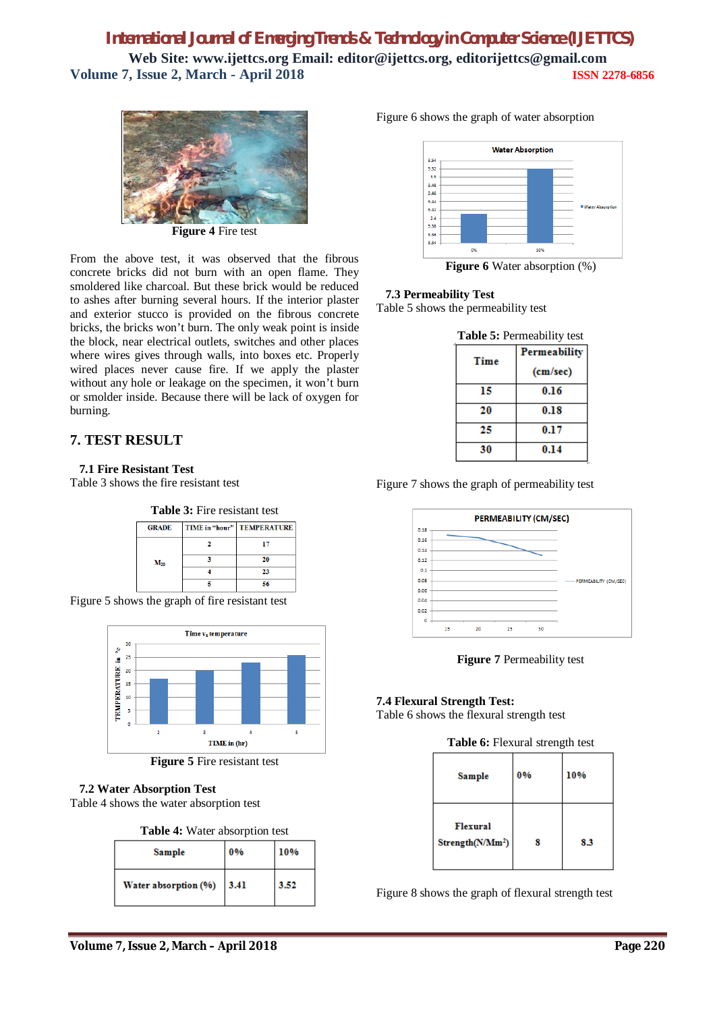

**Figure 4** Fire test

From the above test, it was observed that the fibrous concrete bricks did not burn with an open flame. They smoldered like charcoal. But these brick would be reduced to ashes after burning several hours. If the interior plaster and exterior stucco is provided on the fibrous concrete bricks, the bricks won't burn. The only weak point is inside the block, near electrical outlets, switches and other places where wires gives through walls, into boxes etc. Properly wired places never cause fire. If we apply the plaster without any hole or leakage on the specimen, it won't burn or smolder inside. Because there will be lack of oxygen for burning.

## **7. TEST RESULT**

### **7.1 Fire Resistant Test**

Table 3 shows the fire resistant test



Figure 5 shows the graph of fire resistant test



**Figure 5** Fire resistant test

### **7.2 Water Absorption Test**

Table 4 shows the water absorption test

| <b>Table 4:</b> Water absorption test |  |
|---------------------------------------|--|
|---------------------------------------|--|

| Sample               | 0%   | 10%  |
|----------------------|------|------|
| Water absorption (%) | 3.41 | 3.52 |

Figure 6 shows the graph of water absorption



**Figure 6** Water absorption (%)

### **7.3 Permeability Test**

Table 5 shows the permeability test

| <b>Table 5: Permeability test</b> |                     |  |
|-----------------------------------|---------------------|--|
| Time                              | <b>Permeability</b> |  |
|                                   | (cm/sec)            |  |
| 15                                | 0.16                |  |
| 20                                | 0.18                |  |
| 25                                | 0.17                |  |
| 30                                | 0.14                |  |

Figure 7 shows the graph of permeability test



**Figure 7** Permeability test

### **7.4 Flexural Strength Test:**

Table 6 shows the flexural strength test

| Table 6: Flexural strength test |  |
|---------------------------------|--|
|---------------------------------|--|

| Sample                                          | 0% | 10% |
|-------------------------------------------------|----|-----|
| <b>Flexural</b><br>Strength(N/Mm <sup>2</sup> ) |    | 8.3 |

Figure 8 shows the graph of flexural strength test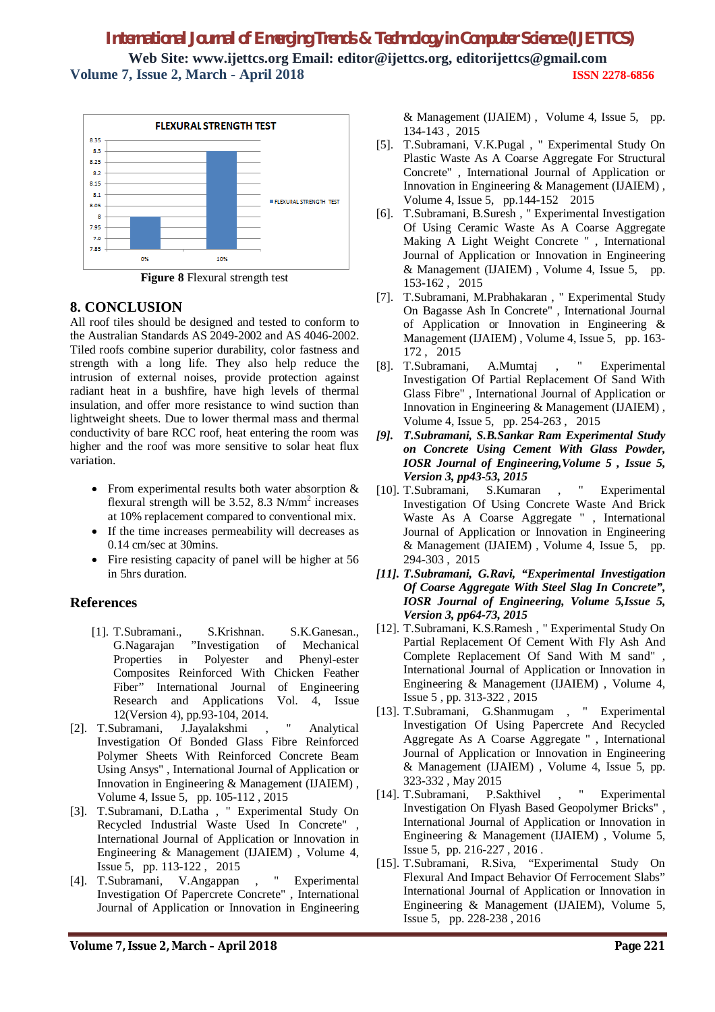

**Figure 8** Flexural strength test

## **8. CONCLUSION**

All roof tiles should be designed and tested to conform to the Australian Standards AS 2049-2002 and AS 4046-2002. Tiled roofs combine superior durability, color fastness and strength with a long life. They also help reduce the intrusion of external noises, provide protection against radiant heat in a bushfire, have high levels of thermal insulation, and offer more resistance to wind suction than lightweight sheets. Due to lower thermal mass and thermal conductivity of bare RCC roof, heat entering the room was higher and the roof was more sensitive to solar heat flux variation.

- From experimental results both water absorption & flexural strength will be  $3.52$ ,  $8.3$  N/mm<sup>2</sup> increases at 10% replacement compared to conventional mix.
- If the time increases permeability will decreases as 0.14 cm/sec at 30mins.
- Fire resisting capacity of panel will be higher at 56 in 5hrs duration.

## **References**

- [1]. T.Subramani., S.Krishnan. S.K.Ganesan., G.Nagarajan "Investigation of Mechanical Properties in Polyester and Phenyl-ester Composites Reinforced With Chicken Feather Fiber" International Journal of Engineering Research and Applications Vol. 4, Issue 12(Version 4), pp.93-104, 2014.
- [2]. T.Subramani, J.Jayalakshmi , " Analytical Investigation Of Bonded Glass Fibre Reinforced Polymer Sheets With Reinforced Concrete Beam Using Ansys" , International Journal of Application or Innovation in Engineering & Management (IJAIEM) , Volume 4, Issue 5, pp. 105-112 , 2015
- [3]. T.Subramani, D.Latha , " Experimental Study On Recycled Industrial Waste Used In Concrete" International Journal of Application or Innovation in Engineering & Management (IJAIEM) , Volume 4, Issue 5, pp. 113-122 , 2015
- [4]. T.Subramani, V.Angappan , " Experimental Investigation Of Papercrete Concrete" , International Journal of Application or Innovation in Engineering

& Management (IJAIEM) , Volume 4, Issue 5, pp. 134-143 , 2015

- [5]. T.Subramani, V.K.Pugal , " Experimental Study On Plastic Waste As A Coarse Aggregate For Structural Concrete" , International Journal of Application or Innovation in Engineering & Management (IJAIEM) , Volume 4, Issue 5, pp.144-152 2015
- [6]. T.Subramani, B.Suresh , " Experimental Investigation Of Using Ceramic Waste As A Coarse Aggregate Making A Light Weight Concrete " , International Journal of Application or Innovation in Engineering & Management (IJAIEM) , Volume 4, Issue 5, pp. 153-162 , 2015
- [7]. T.Subramani, M.Prabhakaran , " Experimental Study On Bagasse Ash In Concrete" , International Journal of Application or Innovation in Engineering & Management (IJAIEM) , Volume 4, Issue 5, pp. 163- 172 , 2015
- [8]. T.Subramani, A.Mumtaj , " Experimental Investigation Of Partial Replacement Of Sand With Glass Fibre" , International Journal of Application or Innovation in Engineering & Management (IJAIEM) , Volume 4, Issue 5, pp. 254-263 , 2015
- *[9]. T.Subramani, S.B.Sankar Ram Experimental Study on Concrete Using Cement With Glass Powder, IOSR Journal of Engineering,Volume 5 , Issue 5, Version 3, pp43-53, 2015*
- [10]. T.Subramani, S.Kumaran , " Experimental Investigation Of Using Concrete Waste And Brick Waste As A Coarse Aggregate " , International Journal of Application or Innovation in Engineering & Management (IJAIEM) , Volume 4, Issue 5, pp. 294-303 , 2015
- *[11]. T.Subramani, G.Ravi, "Experimental Investigation Of Coarse Aggregate With Steel Slag In Concrete", IOSR Journal of Engineering, Volume 5,Issue 5, Version 3, pp64-73, 2015*
- [12]. T.Subramani, K.S.Ramesh , " Experimental Study On Partial Replacement Of Cement With Fly Ash And Complete Replacement Of Sand With M sand" , International Journal of Application or Innovation in Engineering & Management (IJAIEM) , Volume 4, Issue 5 , pp. 313-322 , 2015
- [13]. T.Subramani, G.Shanmugam , " Experimental Investigation Of Using Papercrete And Recycled Aggregate As A Coarse Aggregate " , International Journal of Application or Innovation in Engineering & Management (IJAIEM) , Volume 4, Issue 5, pp. 323-332 , May 2015
- [14]. T.Subramani, P.Sakthivel , " Experimental Investigation On Flyash Based Geopolymer Bricks" , International Journal of Application or Innovation in Engineering & Management (IJAIEM) , Volume 5, Issue 5, pp. 216-227 , 2016 .
- [15]. T.Subramani, R.Siva, "Experimental Study On Flexural And Impact Behavior Of Ferrocement Slabs" International Journal of Application or Innovation in Engineering & Management (IJAIEM), Volume 5, Issue 5, pp. 228-238 , 2016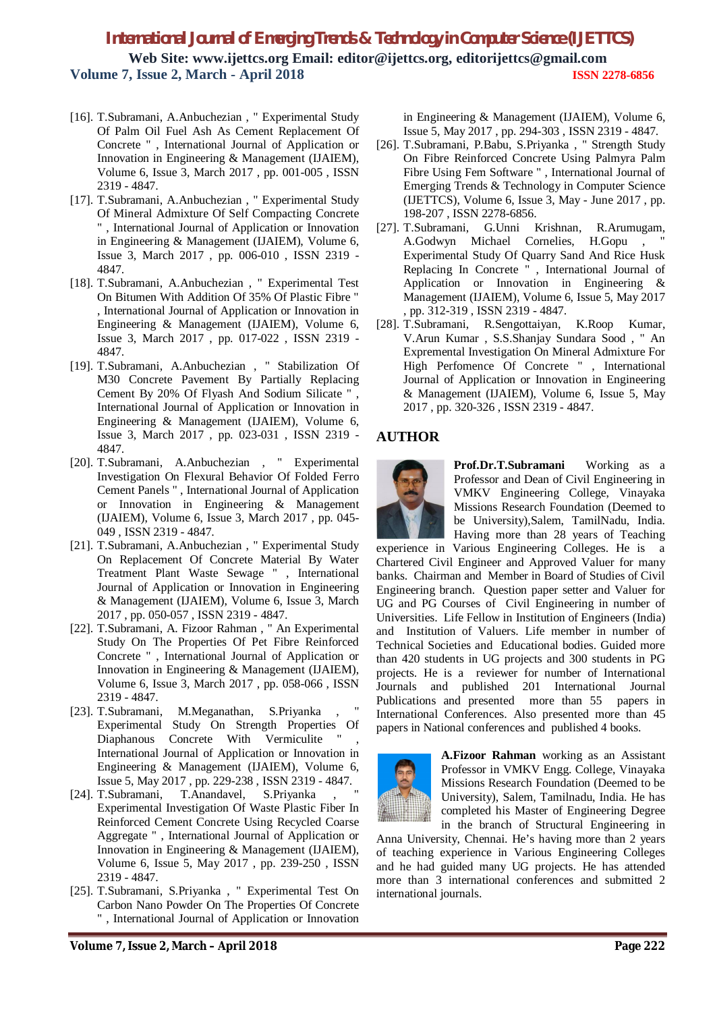- [16]. T.Subramani, A.Anbuchezian , " Experimental Study Of Palm Oil Fuel Ash As Cement Replacement Of Concrete " , International Journal of Application or Innovation in Engineering & Management (IJAIEM), Volume 6, Issue 3, March 2017 , pp. 001-005 , ISSN 2319 - 4847.
- [17]. T.Subramani, A.Anbuchezian , " Experimental Study Of Mineral Admixture Of Self Compacting Concrete " , International Journal of Application or Innovation in Engineering & Management (IJAIEM), Volume 6, Issue 3, March 2017 , pp. 006-010 , ISSN 2319 - 4847.
- [18]. T.Subramani, A.Anbuchezian , " Experimental Test On Bitumen With Addition Of 35% Of Plastic Fibre " , International Journal of Application or Innovation in Engineering & Management (IJAIEM), Volume 6, Issue 3, March 2017 , pp. 017-022 , ISSN 2319 - 4847.
- [19]. T.Subramani, A.Anbuchezian , " Stabilization Of M30 Concrete Pavement By Partially Replacing Cement By 20% Of Flyash And Sodium Silicate " , International Journal of Application or Innovation in Engineering & Management (IJAIEM), Volume 6, Issue 3, March 2017 , pp. 023-031 , ISSN 2319 - 4847.
- [20]. T.Subramani, A.Anbuchezian , " Experimental Investigation On Flexural Behavior Of Folded Ferro Cement Panels " , International Journal of Application or Innovation in Engineering & Management (IJAIEM), Volume 6, Issue 3, March 2017 , pp. 045- 049 , ISSN 2319 - 4847.
- [21]. T.Subramani, A.Anbuchezian , " Experimental Study On Replacement Of Concrete Material By Water Treatment Plant Waste Sewage " , International Journal of Application or Innovation in Engineering & Management (IJAIEM), Volume 6, Issue 3, March 2017 , pp. 050-057 , ISSN 2319 - 4847.
- [22]. T.Subramani, A. Fizoor Rahman , " An Experimental Study On The Properties Of Pet Fibre Reinforced Concrete " , International Journal of Application or Innovation in Engineering & Management (IJAIEM), Volume 6, Issue 3, March 2017 , pp. 058-066 , ISSN 2319 - 4847.
- [23]. T.Subramani, M.Meganathan, S.Priyanka , " Experimental Study On Strength Properties Of Diaphanous Concrete With Vermiculite " International Journal of Application or Innovation in Engineering & Management (IJAIEM), Volume 6, Issue 5, May 2017 , pp. 229-238 , ISSN 2319 - 4847.
- [24]. T.Subramani, T.Anandavel, S.Priyanka Experimental Investigation Of Waste Plastic Fiber In Reinforced Cement Concrete Using Recycled Coarse Aggregate " , International Journal of Application or Innovation in Engineering & Management (IJAIEM), Volume 6, Issue 5, May 2017 , pp. 239-250 , ISSN 2319 - 4847.
- [25]. T.Subramani, S.Priyanka , " Experimental Test On Carbon Nano Powder On The Properties Of Concrete " , International Journal of Application or Innovation

in Engineering & Management (IJAIEM), Volume 6, Issue 5, May 2017 , pp. 294-303 , ISSN 2319 - 4847.

- [26]. T.Subramani, P.Babu, S.Priyanka , " Strength Study On Fibre Reinforced Concrete Using Palmyra Palm Fibre Using Fem Software " , International Journal of Emerging Trends & Technology in Computer Science (IJETTCS), Volume 6, Issue 3, May - June 2017 , pp. 198-207 , ISSN 2278-6856.
- [27]. T.Subramani, G.Unni Krishnan, R.Arumugam, A.Godwyn Michael Cornelies, H.Gopu, Experimental Study Of Quarry Sand And Rice Husk Replacing In Concrete " , International Journal of Application or Innovation in Engineering & Management (IJAIEM), Volume 6, Issue 5, May 2017 , pp. 312-319 , ISSN 2319 - 4847.
- [28]. T.Subramani, R.Sengottaiyan, K.Roop Kumar, V.Arun Kumar , S.S.Shanjay Sundara Sood , " An Expremental Investigation On Mineral Admixture For High Perfomence Of Concrete " , International Journal of Application or Innovation in Engineering & Management (IJAIEM), Volume 6, Issue 5, May 2017 , pp. 320-326 , ISSN 2319 - 4847.

### **AUTHOR**



**Prof.Dr.T.Subramani** Working as a Professor and Dean of Civil Engineering in VMKV Engineering College, Vinayaka Missions Research Foundation (Deemed to be University),Salem, TamilNadu, India. Having more than 28 years of Teaching

experience in Various Engineering Colleges. He is a Chartered Civil Engineer and Approved Valuer for many banks. Chairman and Member in Board of Studies of Civil Engineering branch. Question paper setter and Valuer for UG and PG Courses of Civil Engineering in number of Universities. Life Fellow in Institution of Engineers (India) and Institution of Valuers. Life member in number of Technical Societies and Educational bodies. Guided more than 420 students in UG projects and 300 students in PG projects. He is a reviewer for number of International Journals and published 201 International Journal Publications and presented more than 55 papers in International Conferences. Also presented more than 45 papers in National conferences and published 4 books.



**A.Fizoor Rahman** working as an Assistant Professor in VMKV Engg. College, Vinayaka Missions Research Foundation (Deemed to be University), Salem, Tamilnadu, India. He has completed his Master of Engineering Degree in the branch of Structural Engineering in

Anna University, Chennai. He's having more than 2 years of teaching experience in Various Engineering Colleges and he had guided many UG projects. He has attended more than 3 international conferences and submitted 2 international journals.